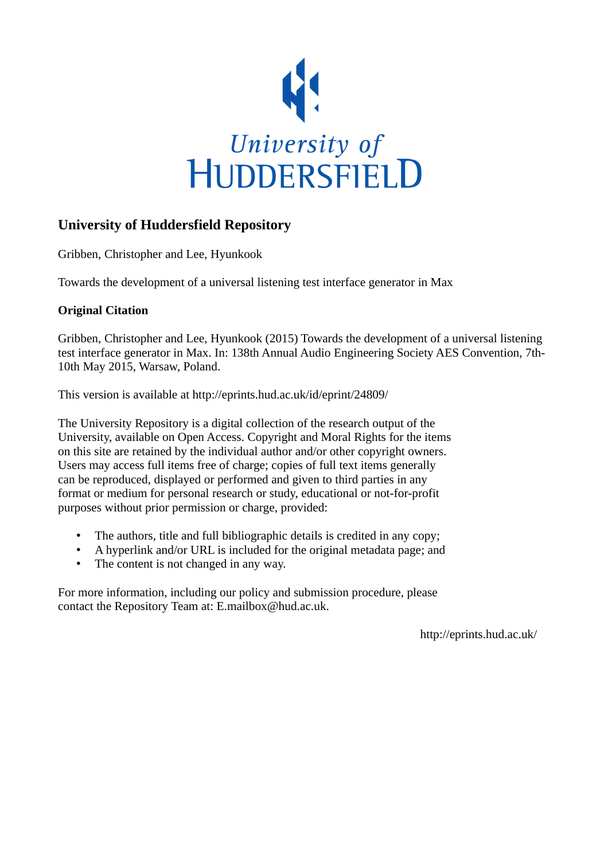

## **University of Huddersfield Repository**

Gribben, Christopher and Lee, Hyunkook

Towards the development of a universal listening test interface generator in Max

### **Original Citation**

Gribben, Christopher and Lee, Hyunkook (2015) Towards the development of a universal listening test interface generator in Max. In: 138th Annual Audio Engineering Society AES Convention, 7th-10th May 2015, Warsaw, Poland.

This version is available at http://eprints.hud.ac.uk/id/eprint/24809/

The University Repository is a digital collection of the research output of the University, available on Open Access. Copyright and Moral Rights for the items on this site are retained by the individual author and/or other copyright owners. Users may access full items free of charge; copies of full text items generally can be reproduced, displayed or performed and given to third parties in any format or medium for personal research or study, educational or not-for-profit purposes without prior permission or charge, provided:

- The authors, title and full bibliographic details is credited in any copy;
- A hyperlink and/or URL is included for the original metadata page; and
- The content is not changed in any way.

For more information, including our policy and submission procedure, please contact the Repository Team at: E.mailbox@hud.ac.uk.

http://eprints.hud.ac.uk/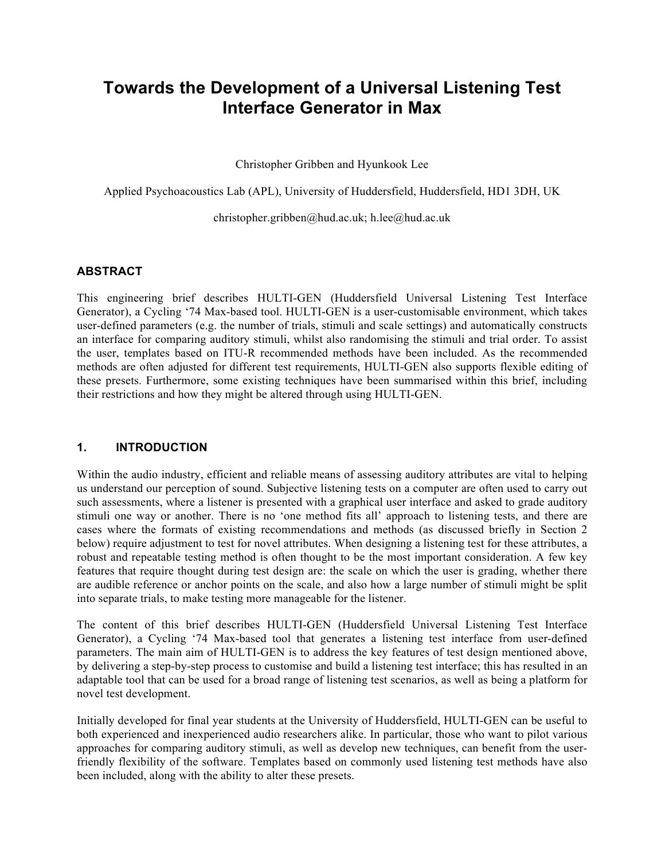# **Towards the Development of a Universal Listening Test Interface Generator in Max**

Christopher Gribben and Hyunkook Lee

Applied Psychoacoustics Lab (APL), University of Huddersfield, Huddersfield, HD1 3DH, UK

christopher.gribben@hud.ac.uk; h.lee@hud.ac.uk

#### **ABSTRACT**

This engineering brief describes HULTI-GEN (Huddersfield Universal Listening Test Interface Generator), a Cycling '74 Max-based tool. HULTI-GEN is a user-customisable environment, which takes user-defined parameters (e.g. the number of trials, stimuli and scale settings) and automatically constructs an interface for comparing auditory stimuli, whilst also randomising the stimuli and trial order. To assist the user, templates based on ITU-R recommended methods have been included. As the recommended methods are often adjusted for different test requirements, HULTI-GEN also supports flexible editing of these presets. Furthermore, some existing techniques have been summarised within this brief, including their restrictions and how they might be altered through using HULTI-GEN.

#### **1. INTRODUCTION**

Within the audio industry, efficient and reliable means of assessing auditory attributes are vital to helping us understand our perception of sound. Subjective listening tests on a computer are often used to carry out such assessments, where a listener is presented with a graphical user interface and asked to grade auditory stimuli one way or another. There is no 'one method fits all' approach to listening tests, and there are cases where the formats of existing recommendations and methods (as discussed briefly in Section 2 below) require adjustment to test for novel attributes. When designing a listening test for these attributes, a robust and repeatable testing method is often thought to be the most important consideration. A few key features that require thought during test design are: the scale on which the user is grading, whether there are audible reference or anchor points on the scale, and also how a large number of stimuli might be split into separate trials, to make testing more manageable for the listener.

The content of this brief describes HULTI-GEN (Huddersfield Universal Listening Test Interface Generator), a Cycling '74 Max-based tool that generates a listening test interface from user-defined parameters. The main aim of HULTI-GEN is to address the key features of test design mentioned above, by delivering a step-by-step process to customise and build a listening test interface; this has resulted in an adaptable tool that can be used for a broad range of listening test scenarios, as well as being a platform for novel test development.

Initially developed for final year students at the University of Huddersfield, HULTI-GEN can be useful to both experienced and inexperienced audio researchers alike. In particular, those who want to pilot various approaches for comparing auditory stimuli, as well as develop new techniques, can benefit from the userfriendly flexibility of the software. Templates based on commonly used listening test methods have also been included, along with the ability to alter these presets.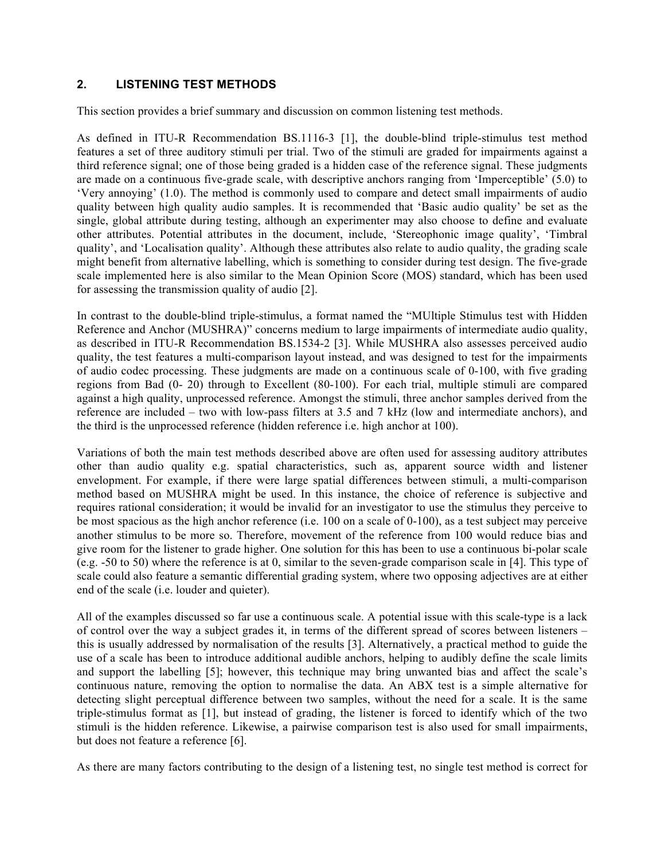#### **2. LISTENING TEST METHODS**

This section provides a brief summary and discussion on common listening test methods.

As defined in ITU-R Recommendation BS.1116-3 [1], the double-blind triple-stimulus test method features a set of three auditory stimuli per trial. Two of the stimuli are graded for impairments against a third reference signal; one of those being graded is a hidden case of the reference signal. These judgments are made on a continuous five-grade scale, with descriptive anchors ranging from 'Imperceptible' (5.0) to 'Very annoying' (1.0). The method is commonly used to compare and detect small impairments of audio quality between high quality audio samples. It is recommended that 'Basic audio quality' be set as the single, global attribute during testing, although an experimenter may also choose to define and evaluate other attributes. Potential attributes in the document, include, 'Stereophonic image quality', 'Timbral quality', and 'Localisation quality'. Although these attributes also relate to audio quality, the grading scale might benefit from alternative labelling, which is something to consider during test design. The five-grade scale implemented here is also similar to the Mean Opinion Score (MOS) standard, which has been used for assessing the transmission quality of audio [2].

In contrast to the double-blind triple-stimulus, a format named the "MUltiple Stimulus test with Hidden Reference and Anchor (MUSHRA)" concerns medium to large impairments of intermediate audio quality, as described in ITU-R Recommendation BS.1534-2 [3]. While MUSHRA also assesses perceived audio quality, the test features a multi-comparison layout instead, and was designed to test for the impairments of audio codec processing. These judgments are made on a continuous scale of 0-100, with five grading regions from Bad (0- 20) through to Excellent (80-100). For each trial, multiple stimuli are compared against a high quality, unprocessed reference. Amongst the stimuli, three anchor samples derived from the reference are included – two with low-pass filters at 3.5 and 7 kHz (low and intermediate anchors), and the third is the unprocessed reference (hidden reference i.e. high anchor at 100).

Variations of both the main test methods described above are often used for assessing auditory attributes other than audio quality e.g. spatial characteristics, such as, apparent source width and listener envelopment. For example, if there were large spatial differences between stimuli, a multi-comparison method based on MUSHRA might be used. In this instance, the choice of reference is subjective and requires rational consideration; it would be invalid for an investigator to use the stimulus they perceive to be most spacious as the high anchor reference (i.e. 100 on a scale of 0-100), as a test subject may perceive another stimulus to be more so. Therefore, movement of the reference from 100 would reduce bias and give room for the listener to grade higher. One solution for this has been to use a continuous bi-polar scale (e.g. -50 to 50) where the reference is at 0, similar to the seven-grade comparison scale in [4]. This type of scale could also feature a semantic differential grading system, where two opposing adjectives are at either end of the scale (i.e. louder and quieter).

All of the examples discussed so far use a continuous scale. A potential issue with this scale-type is a lack of control over the way a subject grades it, in terms of the different spread of scores between listeners – this is usually addressed by normalisation of the results [3]. Alternatively, a practical method to guide the use of a scale has been to introduce additional audible anchors, helping to audibly define the scale limits and support the labelling [5]; however, this technique may bring unwanted bias and affect the scale's continuous nature, removing the option to normalise the data. An ABX test is a simple alternative for detecting slight perceptual difference between two samples, without the need for a scale. It is the same triple-stimulus format as [1], but instead of grading, the listener is forced to identify which of the two stimuli is the hidden reference. Likewise, a pairwise comparison test is also used for small impairments, but does not feature a reference [6].

As there are many factors contributing to the design of a listening test, no single test method is correct for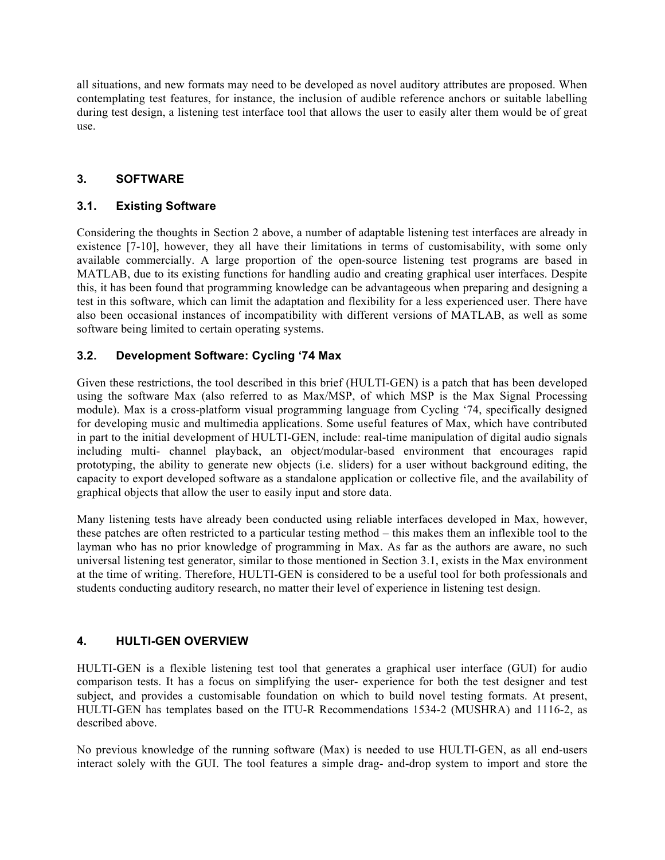all situations, and new formats may need to be developed as novel auditory attributes are proposed. When contemplating test features, for instance, the inclusion of audible reference anchors or suitable labelling during test design, a listening test interface tool that allows the user to easily alter them would be of great use.

#### **3. SOFTWARE**

#### **3.1. Existing Software**

Considering the thoughts in Section 2 above, a number of adaptable listening test interfaces are already in existence [7-10], however, they all have their limitations in terms of customisability, with some only available commercially. A large proportion of the open-source listening test programs are based in MATLAB, due to its existing functions for handling audio and creating graphical user interfaces. Despite this, it has been found that programming knowledge can be advantageous when preparing and designing a test in this software, which can limit the adaptation and flexibility for a less experienced user. There have also been occasional instances of incompatibility with different versions of MATLAB, as well as some software being limited to certain operating systems.

#### **3.2. Development Software: Cycling '74 Max**

Given these restrictions, the tool described in this brief (HULTI-GEN) is a patch that has been developed using the software Max (also referred to as Max/MSP, of which MSP is the Max Signal Processing module). Max is a cross-platform visual programming language from Cycling '74, specifically designed for developing music and multimedia applications. Some useful features of Max, which have contributed in part to the initial development of HULTI-GEN, include: real-time manipulation of digital audio signals including multi- channel playback, an object/modular-based environment that encourages rapid prototyping, the ability to generate new objects (i.e. sliders) for a user without background editing, the capacity to export developed software as a standalone application or collective file, and the availability of graphical objects that allow the user to easily input and store data.

Many listening tests have already been conducted using reliable interfaces developed in Max, however, these patches are often restricted to a particular testing method – this makes them an inflexible tool to the layman who has no prior knowledge of programming in Max. As far as the authors are aware, no such universal listening test generator, similar to those mentioned in Section 3.1, exists in the Max environment at the time of writing. Therefore, HULTI-GEN is considered to be a useful tool for both professionals and students conducting auditory research, no matter their level of experience in listening test design.

#### **4. HULTI-GEN OVERVIEW**

HULTI-GEN is a flexible listening test tool that generates a graphical user interface (GUI) for audio comparison tests. It has a focus on simplifying the user- experience for both the test designer and test subject, and provides a customisable foundation on which to build novel testing formats. At present, HULTI-GEN has templates based on the ITU-R Recommendations 1534-2 (MUSHRA) and 1116-2, as described above.

No previous knowledge of the running software (Max) is needed to use HULTI-GEN, as all end-users interact solely with the GUI. The tool features a simple drag- and-drop system to import and store the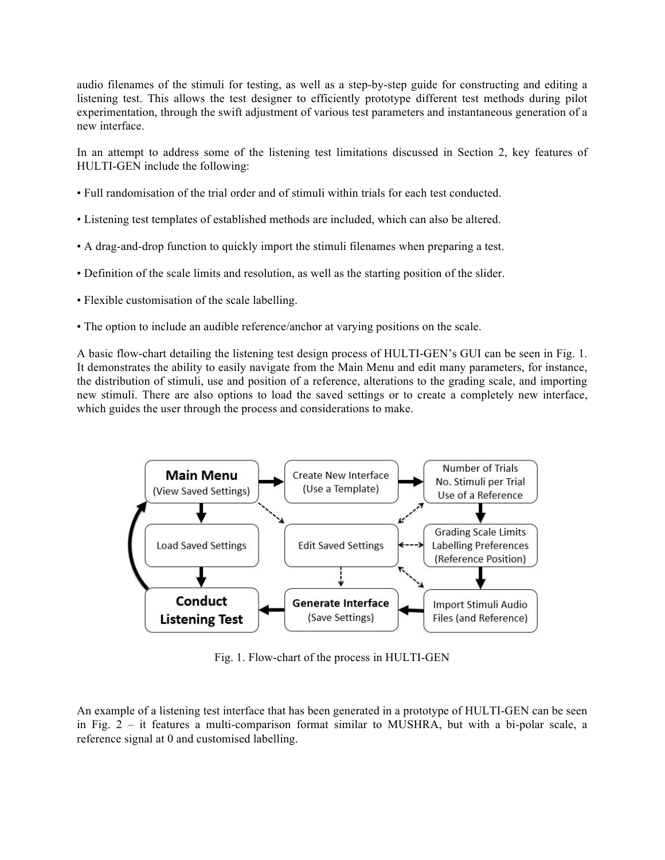audio filenames of the stimuli for testing, as well as a step-by-step guide for constructing and editing a listening test. This allows the test designer to efficiently prototype different test methods during pilot experimentation, through the swift adjustment of various test parameters and instantaneous generation of a new interface.

In an attempt to address some of the listening test limitations discussed in Section 2, key features of HULTI-GEN include the following:

- Full randomisation of the trial order and of stimuli within trials for each test conducted.
- Listening test templates of established methods are included, which can also be altered.
- A drag-and-drop function to quickly import the stimuli filenames when preparing a test.
- Definition of the scale limits and resolution, as well as the starting position of the slider.
- Flexible customisation of the scale labelling.
- The option to include an audible reference/anchor at varying positions on the scale.

A basic flow-chart detailing the listening test design process of HULTI-GEN's GUI can be seen in Fig. 1. It demonstrates the ability to easily navigate from the Main Menu and edit many parameters, for instance, the distribution of stimuli, use and position of a reference, alterations to the grading scale, and importing new stimuli. There are also options to load the saved settings or to create a completely new interface, which guides the user through the process and considerations to make.



Fig. 1. Flow-chart of the process in HULTI-GEN

An example of a listening test interface that has been generated in a prototype of HULTI-GEN can be seen in Fig. 2 – it features a multi-comparison format similar to MUSHRA, but with a bi-polar scale, a reference signal at 0 and customised labelling.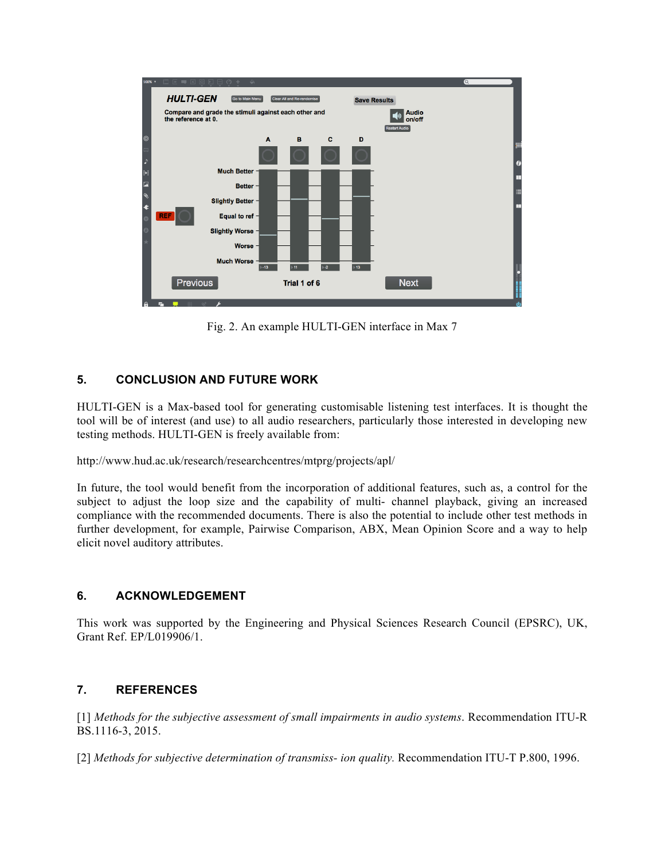

Fig. 2. An example HULTI-GEN interface in Max 7

#### **5. CONCLUSION AND FUTURE WORK**

HULTI-GEN is a Max-based tool for generating customisable listening test interfaces. It is thought the tool will be of interest (and use) to all audio researchers, particularly those interested in developing new testing methods. HULTI-GEN is freely available from:

http://www.hud.ac.uk/research/researchcentres/mtprg/projects/apl/

In future, the tool would benefit from the incorporation of additional features, such as, a control for the subject to adjust the loop size and the capability of multi- channel playback, giving an increased compliance with the recommended documents. There is also the potential to include other test methods in further development, for example, Pairwise Comparison, ABX, Mean Opinion Score and a way to help elicit novel auditory attributes.

#### **6. ACKNOWLEDGEMENT**

This work was supported by the Engineering and Physical Sciences Research Council (EPSRC), UK, Grant Ref. EP/L019906/1.

#### **7. REFERENCES**

[1] *Methods for the subjective assessment of small impairments in audio systems*. Recommendation ITU-R BS.1116-3, 2015.

[2] *Methods for subjective determination of transmiss- ion quality.* Recommendation ITU-T P.800, 1996.